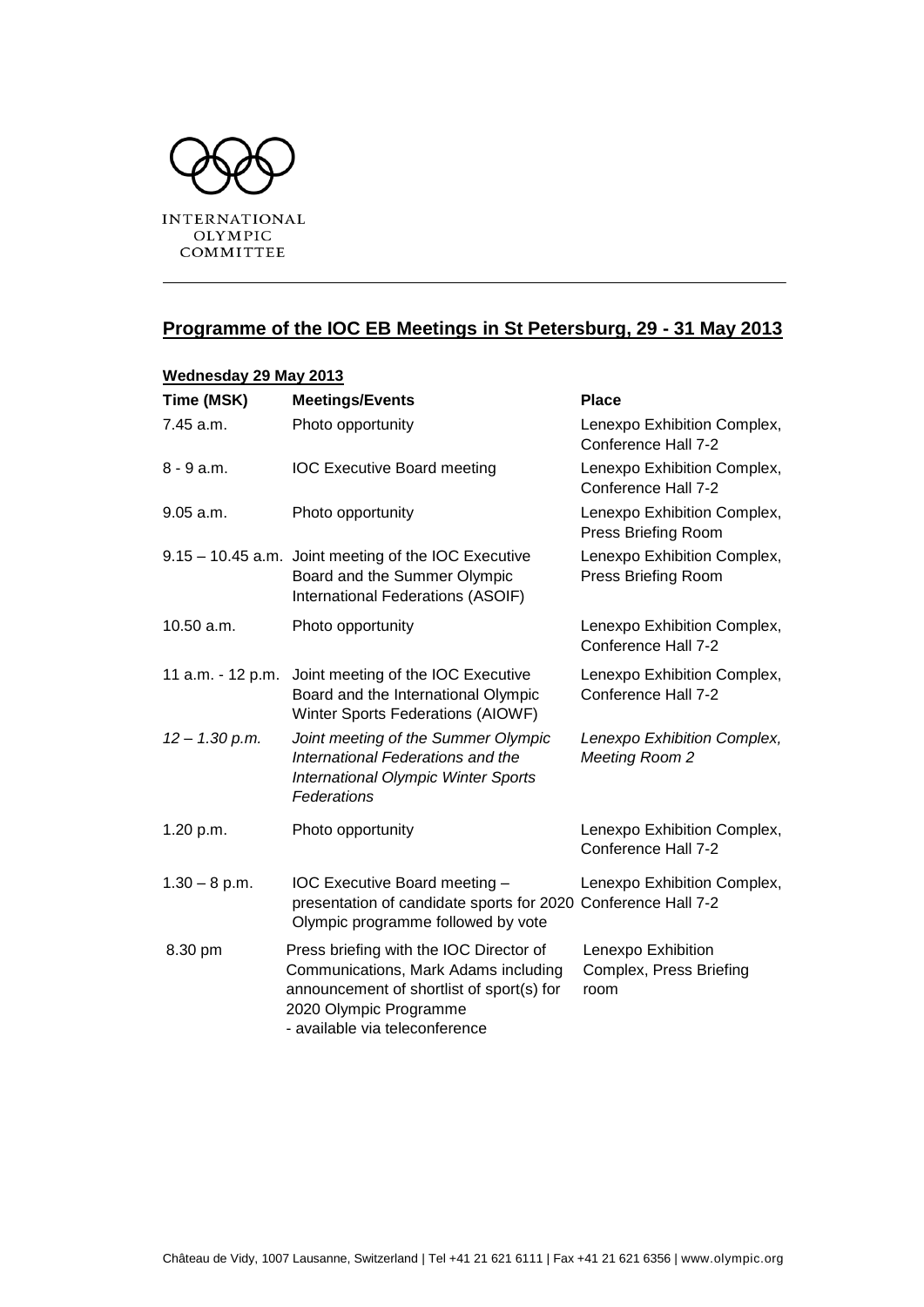

## **Programme of the IOC EB Meetings in St Petersburg, 29 - 31 May 2013**

## **Wednesday 29 May 2013 Time (MSK) Meetings/Events Place** 7.45 a.m. Photo opportunity Lenexpo Exhibition Complex, Conference Hall 7-2 8 - 9 a.m. **IOC Executive Board meeting** Lenexpo Exhibition Complex, Conference Hall 7-2 9.05 a.m. Photo opportunity Lenexpo Exhibition Complex, Press Briefing Room 9.15 – 10.45 a.m. Joint meeting of the IOC Executive Board and the Summer Olympic International Federations (ASOIF) Lenexpo Exhibition Complex, Press Briefing Room 10.50 a.m. Photo opportunity Lenexpo Exhibition Complex, Conference Hall 7-2 11 a.m. - 12 p.m. Joint meeting of the IOC Executive Board and the International Olympic Winter Sports Federations (AIOWF) Lenexpo Exhibition Complex, Conference Hall 7-2 *12 – 1.30 p.m. Joint meeting of the Summer Olympic International Federations and the International Olympic Winter Sports Federations Lenexpo Exhibition Complex, Meeting Room 2* 1.20 p.m. Photo opportunity Lenexpo Exhibition Complex, Conference Hall 7-2 1.30 – 8 p.m. IOC Executive Board meeting – presentation of candidate sports for 2020 Conference Hall 7-2 Olympic programme followed by vote Lenexpo Exhibition Complex, 8.30 pm Press briefing with the IOC Director of Communications, Mark Adams including announcement of shortlist of sport(s) for 2020 Olympic Programme - available via teleconference Lenexpo Exhibition Complex, Press Briefing room